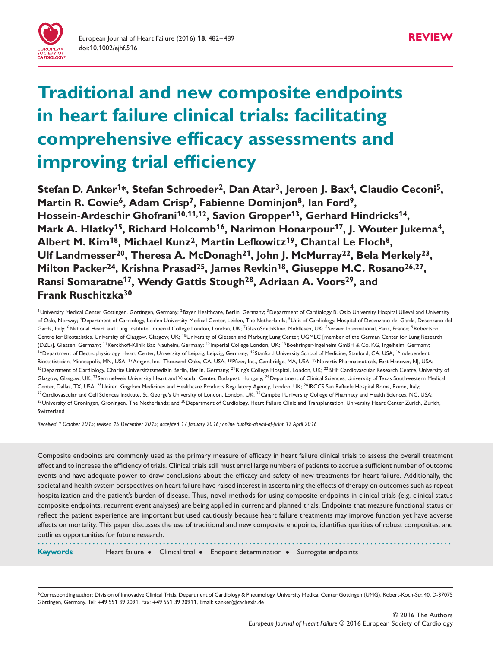# **Traditional and new composite endpoints in heart failure clinical trials: facilitating comprehensive efficacy assessments and improving trial efficiency**

**Stefan D. Anker<sup>1</sup>\*, Stefan Schroeder2, Dan Atar3, Jeroen J. Bax4, Claudio Ceconi5, Martin R. Cowie6, Adam Crisp7, Fabienne Dominjon8, Ian Ford9, Hossein-Ardeschir Ghofrani10,11,<sup>1</sup>2, Savion Gropper<sup>1</sup>3, Gerhard Hindricks<sup>1</sup>4, Mark A. Hlatky<sup>1</sup>5, Richard Holcomb<sup>1</sup>6, Narimon Honarpour<sup>1</sup>7, J. Wouter Jukema4, Albert M. Kim<sup>1</sup>8, Michael Kunz2, Martin Lefkowitz<sup>1</sup>9, Chantal Le Floch8, Ulf Landmesser20, Theresa A. McDonagh2<sup>1</sup>, John J. McMurray22, Bela Merkely23, Milton Packer24, Krishna Prasad25, James Revkin<sup>1</sup>8, Giuseppe M.C. Rosano26,27, Ransi Somaratne<sup>1</sup>7, Wendy Gattis Stough28, Adriaan A. Voors29, and Frank Ruschitzka30**

<sup>1</sup>University Medical Center Gottingen, Gottingen, Germany; <sup>2</sup>Bayer Healthcare, Berlin, Germany; <sup>3</sup>Department of Cardiology B, Oslo University Hospital Ulleval and University of Oslo, Norway; <sup>4</sup>Department of Cardiology, Leiden University Medical Center, Leiden, The Netherlands; <sup>5</sup>Unit of Cardiology, Hospital of Desenzano del Garda, Desenzano del Garda, Italy; <sup>6</sup>National Heart and Lung Institute, Imperial College London, London, UK; <sup>7</sup>GlaxoSmithKline, Middlesex, UK; <sup>8</sup>Servier International, Paris, France; <sup>9</sup>Robertson Centre for Biostatistics, University of Glasgow, Glasgow, UK; <sup>10</sup>University of Giessen and Marburg Lung Center, UGMLC [member of the German Center for Lung Research (DZL)], Giessen, Germany; <sup>11</sup>Kerckhoff-Klinik Bad Nauheim, Germany; <sup>1</sup>2Imperial College London, UK; <sup>1</sup>3Boehringer-Ingelheim GmBH & Co. KG, Ingelheim, Germany; <sup>14</sup>Department of Electrophysiology, Heart Center, University of Leipzig, Leipzig, Germany; <sup>15</sup>Stanford University School of Medicine, Stanford, CA, USA; <sup>16</sup>Independent Biostatistician, Minneapolis, MN, USA; <sup>17</sup>Amgen, Inc., Thousand Oaks, CA, USA; <sup>18</sup>Pfizer, Inc., Cambridge, MA, USA; <sup>19</sup>Novartis Pharmaceuticals, East Hanover, NJ, USA;  $^{20}$ Department of Cardiology, Charité Universitätsmedizin Berlin, Berlin, Germany;  $^{21}$ King's College Hospital, London, UK;  $^{22}$ BHF Cardiovascular Research Centre, University of Glasgow, Glasgow, UK; <sup>23</sup>Semmelweis University Heart and Vascular Center, Budapest, Hungary; <sup>24</sup>Department of Clinical Sciences, University of Texas Southwestern Medical Center, Dallas, TX, USA; <sup>25</sup>United Kingdom Medicines and Healthcare Products Regulatory Agency, London, UK; <sup>26</sup>IRCCS San Raffaele Hospital Roma, Rome, Italy;  $^{27}$ Cardiovascular and Cell Sciences Institute, St. George's University of London, London, UK;  $^{28}$ Campbell University College of Pharmacy and Health Sciences, NC, USA; <sup>29</sup>University of Groningen, Groningen, The Netherlands; and <sup>30</sup>Department of Cardiology, Heart Failure Clinic and Transplantation, University Heart Center Zurich, Zurich, Switzerland

*Received* 1 *October 20*1*5; revised* 1*5 December 20*1*5; accepted* 1*7 January 20*1*6 ; online publish-ahead-of-print* 1*2 April 20*1*6*

Composite endpoints are commonly used as the primary measure of efficacy in heart failure clinical trials to assess the overall treatment effect and to increase the efficiency of trials. Clinical trials still must enrol large numbers of patients to accrue a sufficient number of outcome events and have adequate power to draw conclusions about the efficacy and safety of new treatments for heart failure. Additionally, the societal and health system perspectives on heart failure have raised interest in ascertaining the effects of therapy on outcomes such as repeat hospitalization and the patient's burden of disease. Thus, novel methods for using composite endpoints in clinical trials (e.g. clinical status composite endpoints, recurrent event analyses) are being applied in current and planned trials. Endpoints that measure functional status or reflect the patient experience are important but used cautiously because heart failure treatments may improve function yet have adverse effects on mortality. This paper discusses the use of traditional and new composite endpoints, identifies qualities of robust composites, and outlines opportunities for future research. *..........................................................................................................*

**Keywords** Heart failure • Clinical trial • Endpoint determination • Surrogate endpoints

\*Corresponding author: Division of Innovative Clinical Trials, Department of Cardiology & Pneumology, University Medical Center Göttingen (UMG), Robert-Koch-Str. 40, D-37075 Göttingen, Germany. Tel: +49 551 39 2091, Fax: +49 551 39 20911, Email: s.anker@cachexia.de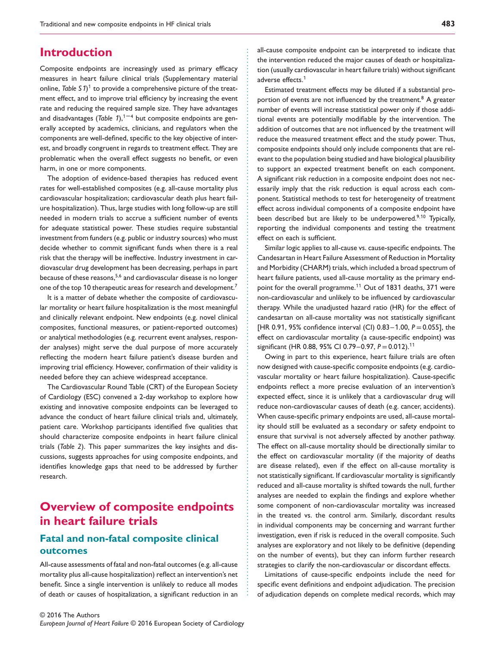# **Introduction**

Composite endpoints are increasingly used as primary efficacy measures in heart failure clinical trials (Supplementary material online, *Table S1*)<sup>1</sup> to provide a comprehensive picture of the treatment effect, and to improve trial efficiency by increasing the event rate and reducing the required sample size. They have advantages and disadvantages (*Table 1*),<sup> $1-4$ </sup> but composite endpoints are generally accepted by academics, clinicians, and regulators when the components are well-defined, specific to the key objective of interest, and broadly congruent in regards to treatment effect. They are problematic when the overall effect suggests no benefit, or even harm, in one or more components.

The adoption of evidence-based therapies has reduced event rates for well-established composites (e.g. all-cause mortality plus cardiovascular hospitalization; cardiovascular death plus heart failure hospitalization). Thus, large studies with long follow-up are still needed in modern trials to accrue a sufficient number of events for adequate statistical power. These studies require substantial investment from funders (e.g. public or industry sources) who must decide whether to commit significant funds when there is a real risk that the therapy will be ineffective. Industry investment in cardiovascular drug development has been decreasing, perhaps in part because of these reasons,5*,*<sup>6</sup> and cardiovascular disease is no longer one of the top 10 therapeutic areas for research and development.7

It is a matter of debate whether the composite of cardiovascular mortality or heart failure hospitalization is the most meaningful and clinically relevant endpoint. New endpoints (e.g. novel clinical composites, functional measures, or patient-reported outcomes) or analytical methodologies (e.g. recurrent event analyses, responder analyses) might serve the dual purpose of more accurately reflecting the modern heart failure patient's disease burden and improving trial efficiency. However, confirmation of their validity is needed before they can achieve widespread acceptance.

............................................................... ................................................................ .........................................

The Cardiovascular Round Table (CRT) of the European Society of Cardiology (ESC) convened a 2-day workshop to explore how existing and innovative composite endpoints can be leveraged to advance the conduct of heart failure clinical trials and, ultimately, patient care. Workshop participants identified five qualities that should characterize composite endpoints in heart failure clinical trials (*Table 2*). This paper summarizes the key insights and discussions, suggests approaches for using composite endpoints, and identifies knowledge gaps that need to be addressed by further research.

# **Overview of composite endpoints in heart failure trials**

## **Fatal and non-fatal composite clinical outcomes**

All-cause assessments of fatal and non-fatal outcomes (e.g. all-cause mortality plus all-cause hospitalization) reflect an intervention's net benefit. Since a single intervention is unlikely to reduce all modes of death or causes of hospitalization, a significant reduction in an all-cause composite endpoint can be interpreted to indicate that the intervention reduced the major causes of death or hospitalization (usually cardiovascular in heart failure trials) without significant adverse effects.<sup>1</sup>

Estimated treatment effects may be diluted if a substantial proportion of events are not influenced by the treatment.<sup>8</sup> A greater number of events will increase statistical power only if those additional events are potentially modifiable by the intervention. The addition of outcomes that are not influenced by the treatment will reduce the measured treatment effect and the study power. Thus, composite endpoints should only include components that are relevant to the population being studied and have biological plausibility to support an expected treatment benefit on each component. A significant risk reduction in a composite endpoint does not necessarily imply that the risk reduction is equal across each component. Statistical methods to test for heterogeneity of treatment effect across individual components of a composite endpoint have been described but are likely to be underpowered.9*,*1<sup>0</sup> Typically, reporting the individual components and testing the treatment effect on each is sufficient.

Similar logic applies to all-cause vs. cause-specific endpoints. The Candesartan in Heart Failure Assessment of Reduction in Mortality and Morbidity (CHARM) trials, which included a broad spectrum of heart failure patients, used all-cause mortality as the primary endpoint for the overall programme.<sup>11</sup> Out of 1831 deaths, 371 were non-cardiovascular and unlikely to be influenced by cardiovascular therapy. While the unadjusted hazard ratio (HR) for the effect of candesartan on all-cause mortality was not statistically significant [HR 0.91, 95% confidence interval (CI) 0.83-1.00,  $P = 0.055$ ], the effect on cardiovascular mortality (a cause-specific endpoint) was significant (HR 0.88, 95% CI 0.79-0.97,  $P = 0.012$ ).<sup>11</sup>

Owing in part to this experience, heart failure trials are often now designed with cause-specific composite endpoints (e.g. cardiovascular mortality or heart failure hospitalization). Cause-specific endpoints reflect a more precise evaluation of an intervention's expected effect, since it is unlikely that a cardiovascular drug will reduce non-cardiovascular causes of death (e.g. cancer, accidents). When cause-specific primary endpoints are used, all-cause mortality should still be evaluated as a secondary or safety endpoint to ensure that survival is not adversely affected by another pathway. The effect on all-cause mortality should be directionally similar to the effect on cardiovascular mortality (if the majority of deaths are disease related), even if the effect on all-cause mortality is not statistically significant. If cardiovascular mortality is significantly reduced and all-cause mortality is shifted towards the null, further analyses are needed to explain the findings and explore whether some component of non-cardiovascular mortality was increased in the treated vs. the control arm. Similarly, discordant results in individual components may be concerning and warrant further investigation, even if risk is reduced in the overall composite. Such analyses are exploratory and not likely to be definitive (depending on the number of events), but they can inform further research strategies to clarify the non-cardiovascular or discordant effects.

Limitations of cause-specific endpoints include the need for specific event definitions and endpoint adjudication. The precision of adjudication depends on complete medical records, which may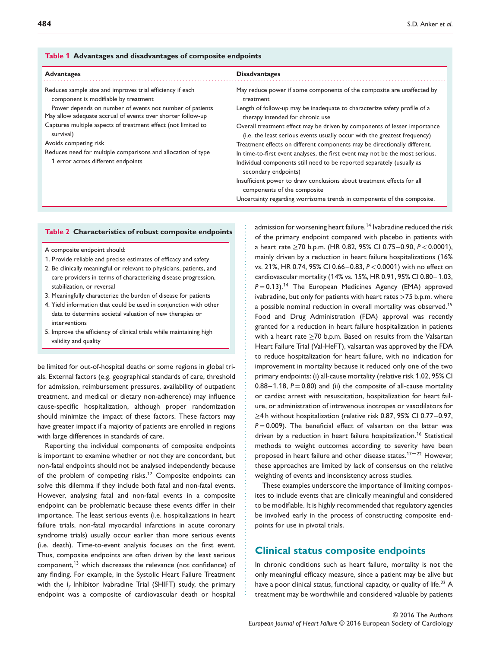#### **Table 1 Advantages and disadvantages of composite endpoints**

| <b>Advantages</b>                                                                                                                                                                                                                                                                                                                                                                                                                         | <b>Disadvantages</b>                                                                                                                                                                                                                                                                                                                                                                                                                                                                                                                                                                                                                                                                                                                    |
|-------------------------------------------------------------------------------------------------------------------------------------------------------------------------------------------------------------------------------------------------------------------------------------------------------------------------------------------------------------------------------------------------------------------------------------------|-----------------------------------------------------------------------------------------------------------------------------------------------------------------------------------------------------------------------------------------------------------------------------------------------------------------------------------------------------------------------------------------------------------------------------------------------------------------------------------------------------------------------------------------------------------------------------------------------------------------------------------------------------------------------------------------------------------------------------------------|
| Reduces sample size and improves trial efficiency if each<br>component is modifiable by treatment<br>Power depends on number of events not number of patients<br>May allow adequate accrual of events over shorter follow-up<br>Captures multiple aspects of treatment effect (not limited to<br>survival)<br>Avoids competing risk<br>Reduces need for multiple comparisons and allocation of type<br>1 error across different endpoints | May reduce power if some components of the composite are unaffected by<br>treatment<br>Length of follow-up may be inadequate to characterize safety profile of a<br>therapy intended for chronic use<br>Overall treatment effect may be driven by components of lesser importance<br>(i.e. the least serious events usually occur with the greatest frequency)<br>Treatment effects on different components may be directionally different.<br>In time-to-first event analyses, the first event may not be the most serious.<br>Individual components still need to be reported separately (usually as<br>secondary endpoints)<br>Insufficient power to draw conclusions about treatment effects for all<br>components of the composite |
|                                                                                                                                                                                                                                                                                                                                                                                                                                           | Uncertainty regarding worrisome trends in components of the composite.                                                                                                                                                                                                                                                                                                                                                                                                                                                                                                                                                                                                                                                                  |

......................................................... .........................................................

### **Table 2 Characteristics of robust composite endpoints**

A composite endpoint should:

- 1. Provide reliable and precise estimates of efficacy and safety
- 2. Be clinically meaningful or relevant to physicians, patients, and care providers in terms of characterizing disease progression, stabilization, or reversal
- 3. Meaningfully characterize the burden of disease for patients
- 4. Yield information that could be used in conjunction with other data to determine societal valuation of new therapies or interventions
- 5. Improve the efficiency of clinical trials while maintaining high validity and quality

be limited for out-of-hospital deaths or some regions in global trials. External factors (e.g. geographical standards of care, threshold for admission, reimbursement pressures, availability of outpatient treatment, and medical or dietary non-adherence) may influence cause-specific hospitalization, although proper randomization should minimize the impact of these factors. These factors may have greater impact if a majority of patients are enrolled in regions with large differences in standards of care.

Reporting the individual components of composite endpoints is important to examine whether or not they are concordant, but non-fatal endpoints should not be analysed independently because of the problem of competing risks.<sup>12</sup> Composite endpoints can solve this dilemma if they include both fatal and non-fatal events. However, analysing fatal and non-fatal events in a composite endpoint can be problematic because these events differ in their importance. The least serious events (i.e. hospitalizations in heart failure trials, non-fatal myocardial infarctions in acute coronary syndrome trials) usually occur earlier than more serious events (i.e. death). Time-to-event analysis focuses on the first event. Thus, composite endpoints are often driven by the least serious component, $13$  which decreases the relevance (not confidence) of any finding. For example, in the Systolic Heart Failure Treatment with the *I <sup>f</sup>* Inhibitor Ivabradine Trial (SHIFT) study, the primary endpoint was a composite of cardiovascular death or hospital admission for worsening heart failure.<sup>14</sup> Ivabradine reduced the risk of the primary endpoint compared with placebo in patients with a heart rate ≥70 b.p.m. (HR 0.82, 95% CI 0.75–0.90, *P <*0.0001), mainly driven by a reduction in heart failure hospitalizations (16% vs. 21%, HR 0.74, 95% CI 0.66–0.83, *P <*0.0001) with no effect on cardiovascular mortality (14% vs. 15%, HR 0.91, 95% CI 0.80–1.03, *P* = 0.13).<sup>14</sup> The European Medicines Agency (EMA) approved ivabradine, but only for patients with heart rates *>*75 b.p.m. where a possible nominal reduction in overall mortality was observed.<sup>15</sup> Food and Drug Administration (FDA) approval was recently granted for a reduction in heart failure hospitalization in patients with a heart rate ≥70 b.p.m. Based on results from the Valsartan Heart Failure Trial (Val-HeFT), valsartan was approved by the FDA to reduce hospitalization for heart failure, with no indication for improvement in mortality because it reduced only one of the two primary endpoints: (i) all-cause mortality (relative risk 1.02, 95% CI  $0.88-1.18$ ,  $P = 0.80$ ) and (ii) the composite of all-cause mortality or cardiac arrest with resuscitation, hospitalization for heart failure, or administration of intravenous inotropes or vasodilators for ≥4 h without hospitalization (relative risk 0.87, 95% CI 0.77–0.97,  $P = 0.009$ ). The beneficial effect of valsartan on the latter was driven by a reduction in heart failure hospitalization.<sup>16</sup> Statistical methods to weight outcomes according to severity have been proposed in heart failure and other disease states.<sup>17-22</sup> However, these approaches are limited by lack of consensus on the relative weighting of events and inconsistency across studies.

These examples underscore the importance of limiting composites to include events that are clinically meaningful and considered to be modifiable. It is highly recommended that regulatory agencies be involved early in the process of constructing composite endpoints for use in pivotal trials.

### **Clinical status composite endpoints**

In chronic conditions such as heart failure, mortality is not the only meaningful efficacy measure, since a patient may be alive but have a poor clinical status, functional capacity, or quality of life.<sup>23</sup> A treatment may be worthwhile and considered valuable by patients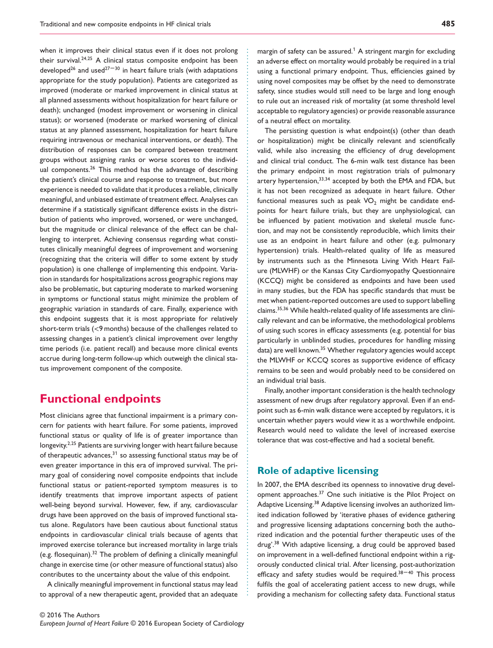when it improves their clinical status even if it does not prolong their survival.24*,*<sup>25</sup> A clinical status composite endpoint has been developed<sup>26</sup> and used<sup>27-30</sup> in heart failure trials (with adaptations appropriate for the study population). Patients are categorized as improved (moderate or marked improvement in clinical status at all planned assessments without hospitalization for heart failure or death); unchanged (modest improvement or worsening in clinical status); or worsened (moderate or marked worsening of clinical status at any planned assessment, hospitalization for heart failure requiring intravenous or mechanical interventions, or death). The distribution of responses can be compared between treatment groups without assigning ranks or worse scores to the individual components.<sup>26</sup> This method has the advantage of describing the patient's clinical course and response to treatment, but more experience is needed to validate that it produces a reliable, clinically meaningful, and unbiased estimate of treatment effect. Analyses can determine if a statistically significant difference exists in the distribution of patients who improved, worsened, or were unchanged, but the magnitude or clinical relevance of the effect can be challenging to interpret. Achieving consensus regarding what constitutes clinically meaningful degrees of improvement and worsening (recognizing that the criteria will differ to some extent by study population) is one challenge of implementing this endpoint. Variation in standards for hospitalizations across geographic regions may also be problematic, but capturing moderate to marked worsening in symptoms or functional status might minimize the problem of geographic variation in standards of care. Finally, experience with this endpoint suggests that it is most appropriate for relatively short-term trials (*<*9 months) because of the challenges related to assessing changes in a patient's clinical improvement over lengthy time periods (i.e. patient recall) and because more clinical events accrue during long-term follow-up which outweigh the clinical status improvement component of the composite.

# **Functional endpoints**

Most clinicians agree that functional impairment is a primary concern for patients with heart failure. For some patients, improved functional status or quality of life is of greater importance than longevity.2*,*<sup>25</sup> Patients are surviving longer with heart failure because of therapeutic advances, $31$  so assessing functional status may be of even greater importance in this era of improved survival. The primary goal of considering novel composite endpoints that include functional status or patient-reported symptom measures is to identify treatments that improve important aspects of patient well-being beyond survival. However, few, if any, cardiovascular drugs have been approved on the basis of improved functional status alone. Regulators have been cautious about functional status endpoints in cardiovascular clinical trials because of agents that improved exercise tolerance but increased mortality in large trials (e.g. flosequinan).<sup>32</sup> The problem of defining a clinically meaningful change in exercise time (or other measure of functional status) also contributes to the uncertainty about the value of this endpoint.

A clinically meaningful improvement in functional status may lead to approval of a new therapeutic agent, provided that an adequate margin of safety can be assured.<sup>1</sup> A stringent margin for excluding an adverse effect on mortality would probably be required in a trial using a functional primary endpoint. Thus, efficiencies gained by using novel composites may be offset by the need to demonstrate safety, since studies would still need to be large and long enough to rule out an increased risk of mortality (at some threshold level acceptable to regulatory agencies) or provide reasonable assurance of a neutral effect on mortality.

The persisting question is what endpoint(s) (other than death or hospitalization) might be clinically relevant and scientifically valid, while also increasing the efficiency of drug development and clinical trial conduct. The 6-min walk test distance has been the primary endpoint in most registration trials of pulmonary artery hypertension,<sup>33</sup>*,*<sup>34</sup> accepted by both the EMA and FDA, but it has not been recognized as adequate in heart failure. Other functional measures such as peak  $VO<sub>2</sub>$  might be candidate endpoints for heart failure trials, but they are unphysiological, can be influenced by patient motivation and skeletal muscle function, and may not be consistently reproducible, which limits their use as an endpoint in heart failure and other (e.g. pulmonary hypertension) trials. Health-related quality of life as measured by instruments such as the Minnesota Living With Heart Failure (MLWHF) or the Kansas City Cardiomyopathy Questionnaire (KCCQ) might be considered as endpoints and have been used in many studies, but the FDA has specific standards that must be met when patient-reported outcomes are used to support labelling claims.<sup>35</sup>*,*<sup>36</sup> While health-related quality of life assessments are clinically relevant and can be informative, the methodological problems of using such scores in efficacy assessments (e.g. potential for bias particularly in unblinded studies, procedures for handling missing data) are well known.<sup>35</sup> Whether regulatory agencies would accept the MLWHF or KCCQ scores as supportive evidence of efficacy remains to be seen and would probably need to be considered on an individual trial basis.

Finally, another important consideration is the health technology assessment of new drugs after regulatory approval. Even if an endpoint such as 6-min walk distance were accepted by regulators, it is uncertain whether payers would view it as a worthwhile endpoint. Research would need to validate the level of increased exercise tolerance that was cost-effective and had a societal benefit.

### **Role of adaptive licensing**

............................................................... ................................................................ .........................................

In 2007, the EMA described its openness to innovative drug development approaches.37 One such initiative is the Pilot Project on Adaptive Licensing.<sup>38</sup> Adaptive licensing involves an authorized limited indication followed by 'iterative phases of evidence gathering and progressive licensing adaptations concerning both the authorized indication and the potential further therapeutic uses of the drug'.<sup>38</sup> With adaptive licensing, a drug could be approved based on improvement in a well-defined functional endpoint within a rigorously conducted clinical trial. After licensing, post-authorization efficacy and safety studies would be required. $38-40$  This process fulfils the goal of accelerating patient access to new drugs, while providing a mechanism for collecting safety data. Functional status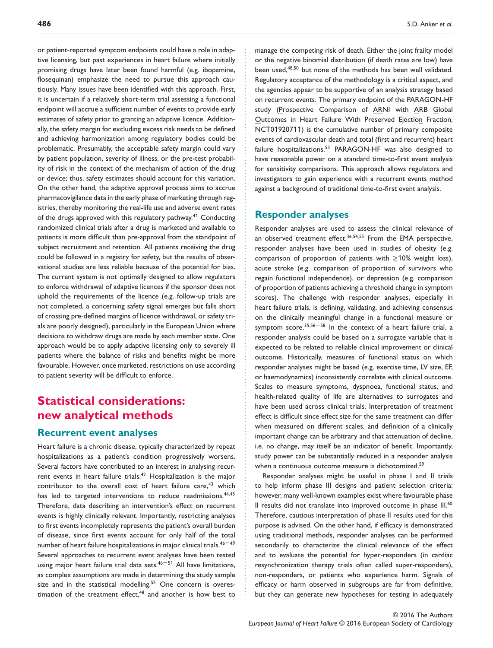or patient-reported symptom endpoints could have a role in adaptive licensing, but past experiences in heart failure where initially promising drugs have later been found harmful (e.g. ibopamine, flosequinan) emphasize the need to pursue this approach cautiously. Many issues have been identified with this approach. First, it is uncertain if a relatively short-term trial assessing a functional endpoint will accrue a sufficient number of events to provide early estimates of safety prior to granting an adaptive licence. Additionally, the safety margin for excluding excess risk needs to be defined and achieving harmonization among regulatory bodies could be problematic. Presumably, the acceptable safety margin could vary by patient population, severity of illness, or the pre-test probability of risk in the context of the mechanism of action of the drug or device; thus, safety estimates should account for this variation. On the other hand, the adaptive approval process aims to accrue pharmacovigilance data in the early phase of marketing through registries, thereby monitoring the real-life use and adverse event rates of the drugs approved with this regulatory pathway.<sup>41</sup> Conducting randomized clinical trials after a drug is marketed and available to patients is more difficult than pre-approval from the standpoint of subject recruitment and retention. All patients receiving the drug could be followed in a registry for safety, but the results of observational studies are less reliable because of the potential for bias. The current system is not optimally designed to allow regulators to enforce withdrawal of adaptive licences if the sponsor does not uphold the requirements of the licence (e.g. follow-up trials are not completed, a concerning safety signal emerges but falls short of crossing pre-defined margins of licence withdrawal, or safety trials are poorly designed), particularly in the European Union where decisions to withdraw drugs are made by each member state. One approach would be to apply adaptive licensing only to severely ill patients where the balance of risks and benefits might be more favourable. However, once marketed, restrictions on use according to patient severity will be difficult to enforce.

# **Statistical considerations: new analytical methods**

### **Recurrent event analyses**

Heart failure is a chronic disease, typically characterized by repeat hospitalizations as a patient's condition progressively worsens. Several factors have contributed to an interest in analysing recurrent events in heart failure trials.<sup>42</sup> Hospitalization is the major contributor to the overall cost of heart failure care,<sup>43</sup> which has led to targeted interventions to reduce readmissions.<sup>44</sup>*,*<sup>45</sup> Therefore, data describing an intervention's effect on recurrent events is highly clinically relevant. Importantly, restricting analyses to first events incompletely represents the patient's overall burden of disease, since first events account for only half of the total number of heart failure hospitalizations in major clinical trials. $46 - 49$ Several approaches to recurrent event analyses have been tested using major heart failure trial data sets. $46 - 51$  All have limitations, as complex assumptions are made in determining the study sample size and in the statistical modelling.<sup>52</sup> One concern is overestimation of the treatment effect, $48$  and another is how best to manage the competing risk of death. Either the joint frailty model or the negative binomial distribution (if death rates are low) have been used,48*,*<sup>50</sup> but none of the methods has been well validated. Regulatory acceptance of the methodology is a critical aspect, and the agencies appear to be supportive of an analysis strategy based on recurrent events. The primary endpoint of the PARAGON-HF study (Prospective Comparison of ARNI with ARB Global Outcomes in Heart Failure With Preserved Ejection Fraction, NCT01920711) is the cumulative number of primary composite events of cardiovascular death and total (first and recurrent) heart failure hospitalizations.<sup>53</sup> PARAGON-HF was also designed to have reasonable power on a standard time-to-first event analysis for sensitivity comparisons. This approach allows regulators and investigators to gain experience with a recurrent events method against a background of traditional time-to-first event analysis.

### **Responder analyses**

............................................................... ................................................................ .........................................

Responder analyses are used to assess the clinical relevance of an observed treatment effect.<sup>36,54,55</sup> From the EMA perspective, responder analyses have been used in studies of obesity (e.g. comparison of proportion of patients with  $\geq$ 10% weight loss), acute stroke (e.g. comparison of proportion of survivors who regain functional independence), or depression (e.g. comparison of proportion of patients achieving a threshold change in symptom scores). The challenge with responder analyses, especially in heart failure trials, is defining, validating, and achieving consensus on the clinically meaningful change in a functional measure or symptom score.<sup>35,56-58</sup> In the context of a heart failure trial, a responder analysis could be based on a surrogate variable that is expected to be related to reliable clinical improvement or clinical outcome. Historically, measures of functional status on which responder analyses might be based (e.g. exercise time, LV size, EF, or haemodynamics) inconsistently correlate with clinical outcome. Scales to measure symptoms, dyspnoea, functional status, and health-related quality of life are alternatives to surrogates and have been used across clinical trials. Interpretation of treatment effect is difficult since effect size for the same treatment can differ when measured on different scales, and definition of a clinically important change can be arbitrary and that attenuation of decline, i.e. no change, may itself be an indicator of benefit. Importantly, study power can be substantially reduced in a responder analysis when a continuous outcome measure is dichotomized.<sup>59</sup>

Responder analyses might be useful in phase I and II trials to help inform phase III designs and patient selection criteria; however, many well-known examples exist where favourable phase II results did not translate into improved outcome in phase III.<sup>60</sup> Therefore, cautious interpretation of phase II results used for this purpose is advised. On the other hand, if efficacy is demonstrated using traditional methods, responder analyses can be performed secondarily to characterize the clinical relevance of the effect and to evaluate the potential for hyper-responders (in cardiac resynchronization therapy trials often called super-responders), non-responders, or patients who experience harm. Signals of efficacy or harm observed in subgroups are far from definitive, but they can generate new hypotheses for testing in adequately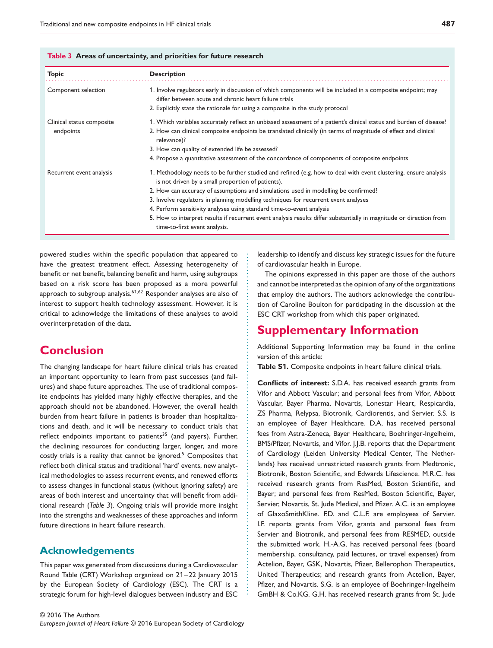| <b>Topic</b>              | <b>Description</b>                                                                                                                                                   |
|---------------------------|----------------------------------------------------------------------------------------------------------------------------------------------------------------------|
| Component selection       | 1. Involve regulators early in discussion of which components will be included in a composite endpoint; may<br>differ between acute and chronic heart failure trials |
|                           | 2. Explicitly state the rationale for using a composite in the study protocol                                                                                        |
| Clinical status composite | 1. Which variables accurately reflect an unbiased assessment of a patient's clinical status and burden of disease?                                                   |
| endpoints                 | 2. How can clinical composite endpoints be translated clinically (in terms of magnitude of effect and clinical<br>relevance)?                                        |
|                           | 3. How can quality of extended life be assessed?                                                                                                                     |
|                           | 4. Propose a quantitative assessment of the concordance of components of composite endpoints                                                                         |
| Recurrent event analysis  | 1. Methodology needs to be further studied and refined (e.g. how to deal with event clustering, ensure analysis<br>is not driven by a small proportion of patients). |
|                           | 2. How can accuracy of assumptions and simulations used in modelling be confirmed?                                                                                   |
|                           | 3. Involve regulators in planning modelling techniques for recurrent event analyses                                                                                  |
|                           | 4. Perform sensitivity analyses using standard time-to-event analysis                                                                                                |
|                           | 5. How to interpret results if recurrent event analysis results differ substantially in magnitude or direction from                                                  |
|                           | time-to-first event analysis.                                                                                                                                        |

.................................................... .....................................................

#### **Table 3 Areas of uncertainty, and priorities for future research**

powered studies within the specific population that appeared to have the greatest treatment effect. Assessing heterogeneity of benefit or net benefit, balancing benefit and harm, using subgroups based on a risk score has been proposed as a more powerful approach to subgroup analysis.6<sup>1</sup>*,*<sup>62</sup> Responder analyses are also of interest to support health technology assessment. However, it is critical to acknowledge the limitations of these analyses to avoid overinterpretation of the data.

# **Conclusion**

The changing landscape for heart failure clinical trials has created an important opportunity to learn from past successes (and failures) and shape future approaches. The use of traditional composite endpoints has yielded many highly effective therapies, and the approach should not be abandoned. However, the overall health burden from heart failure in patients is broader than hospitalizations and death, and it will be necessary to conduct trials that reflect endpoints important to patients<sup>35</sup> (and payers). Further, the declining resources for conducting larger, longer, and more costly trials is a reality that cannot be ignored.<sup>5</sup> Composites that reflect both clinical status and traditional 'hard' events, new analytical methodologies to assess recurrent events, and renewed efforts to assess changes in functional status (without ignoring safety) are areas of both interest and uncertainty that will benefit from additional research (*Table 3*). Ongoing trials will provide more insight into the strengths and weaknesses of these approaches and inform future directions in heart failure research.

### **Acknowledgements**

This paper was generated from discussions during a Cardiovascular Round Table (CRT) Workshop organized on 21–22 January 2015 by the European Society of Cardiology (ESC). The CRT is a strategic forum for high-level dialogues between industry and ESC leadership to identify and discuss key strategic issues for the future of cardiovascular health in Europe.

The opinions expressed in this paper are those of the authors and cannot be interpreted as the opinion of any of the organizations that employ the authors. The authors acknowledge the contribution of Caroline Boulton for participating in the discussion at the ESC CRT workshop from which this paper originated.

# **Supplementary Information**

Additional Supporting Information may be found in the online version of this article:

**Table S1.** Composite endpoints in heart failure clinical trials.

**Conflicts of interest:** S.D.A. has received esearch grants from Vifor and Abbott Vascular; and personal fees from Vifor, Abbott Vascular, Bayer Pharma, Novartis, Lonestar Heart, Respicardia, ZS Pharma, Relypsa, Biotronik, Cardiorentis, and Servier. S.S. is an employee of Bayer Healthcare. D.A, has received personal fees from Astra-Zeneca, Bayer Healthcare, Boehringer-Ingelheim, BMS/Pfizer, Novartis, and Vifor. J.J.B. reports that the Department of Cardiology (Leiden University Medical Center, The Netherlands) has received unrestricted research grants from Medtronic, Biotronik, Boston Scientific, and Edwards Lifescience. M.R.C. has received research grants from ResMed, Boston Scientific, and Bayer; and personal fees from ResMed, Boston Scientific, Bayer, Servier, Novartis, St. Jude Medical, and Pfizer. A.C. is an employee of GlaxoSmithKline. F.D. and C.L.F. are employees of Servier. I.F. reports grants from Vifor, grants and personal fees from Servier and Biotronik, and personal fees from RESMED, outside the submitted work. H.-A.G, has received personal fees (board membership, consultancy, paid lectures, or travel expenses) from Actelion, Bayer, GSK, Novartis, Pfizer, Bellerophon Therapeutics, United Therapeutics; and research grants from Actelion, Bayer, Pfizer, and Novartis. S.G. is an employee of Boehringer-Ingelheim GmBH & Co.KG. G.H. has received research grants from St. Jude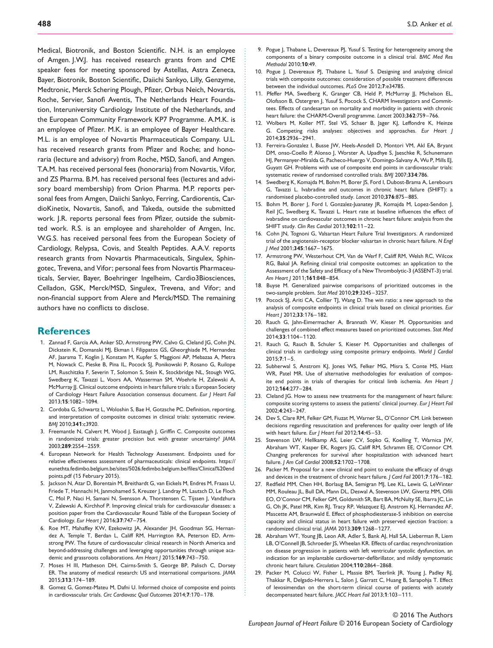Medical, Biotronik, and Boston Scientific. N.H. is an employee of Amgen. J.W.J. has received research grants from and CME speaker fees for meeting sponsored by Astellas, Astra Zeneca, Bayer, Biotronik, Boston Scientific, Daiichi Sankyo, Lilly, Genzyme, Medtronic, Merck Schering Plough, Pfizer, Orbus Neich, Novartis, Roche, Servier, Sanofi Aventis, The Netherlands Heart Foundation, Interuniversity Cardiology Institute of the Netherlands, and the European Community Framework KP7 Programme. A.M.K. is an employee of Pfizer. M.K. is an employee of Bayer Healthcare. M.L. is an employee of Novartis Pharmaceuticals Company. U.L. has received research grants from Pfizer and Roche; and honoraria (lecture and advisory) from Roche, MSD, Sanofi, and Amgen. T.A.M. has received personal fees (honoraria) from Novartis, Vifor, and ZS Pharma. B.M. has received personal fees (lectures and advisory board membership) from Orion Pharma. M.P. reports personal fees from Amgen, Daiichi Sankyo, Ferring, Cardiorentis, CardioKinetix, Novartis, Sanofi, and Takeda, outside the submitted work. J.R. reports personal fees from Pfizer, outside the submitted work. R.S. is an employee and shareholder of Amgen, Inc. W.G.S. has received personal fees from the European Society of Cardiology, Relypsa, Covis, and Stealth Peptides. A.A.V. reports research grants from Novartis Pharmaceuticals, Singulex, Sphingotec, Trevena, and Vifor; personal fees from Novartis Pharmaceuticals, Servier, Bayer, Boehringer Ingelheim, Cardio3Biosciences, Celladon, GSK, Merck/MSD, Singulex, Trevena, and Vifor; and non-financial support from Alere and Merck/MSD. The remaining authors have no conflicts to disclose.

### **References**

- 1. Zannad F, Garcia AA, Anker SD, Armstrong PW, Calvo G, Cleland JG, Cohn JN, Dickstein K, Domanski MJ, Ekman I, Filippatos GS, Gheorghiade M, Hernandez AF, Jaarsma T, Koglin J, Konstam M, Kupfer S, Maggioni AP, Mebazaa A, Metra M, Nowack C, Pieske B, Pina IL, Pocock SJ, Ponikowski P, Rosano G, Ruilope LM, Ruschitzka F, Severin T, Solomon S, Stein K, Stockbridge NL, Stough WG, Swedberg K, Tavazzi L, Voors AA, Wasserman SM, Woehrle H, Zalewski A, McMurray JJ. Clinical outcome endpoints in heart failure trials: a European Society of Cardiology Heart Failure Association consensus document. *Eur J Heart Fail* 2013;**15**:1082–1094.
- 2. Cordoba G, Schwartz L, Woloshin S, Bae H, Gotzsche PC. Definition, reporting, and interpretation of composite outcomes in clinical trials: systematic review. *BMJ* 2010;**341**:c3920.
- 3. Freemantle N, Calvert M, Wood J, Eastaugh J, Griffin C. Composite outcomes in randomized trials: greater precision but with greater uncertainty? *JAMA* 2003;**289**:2554–2559.
- 4. European Network for Health Technology Assessment. Endpoints used for relative effectiveness assessment of pharmaceuticals: clinical endpoints. https:// eunethta.fedimbo.belgium.be/sites/5026.fedimbo.belgium.be/files/Clinical%20end points.pdf (15 February 2015).
- 5. Jackson N, Atar D, Borentain M, Breithardt G, van Eickels M, Endres M, Fraass U, Friede T, Hannachi H, Janmohamed S, Kreuzer J, Landray M, Lautsch D, Le Floch C, Mol P, Naci H, Samani N, Svensson A, Thorstensen C, Tijssen J, Vandzhura V, Zalewski A, Kirchhof P. Improving clinical trials for cardiovascular diseases: a position paper from the Cardiovascular Round Table of the European Society of Cardiology. *Eur Heart J* 2016;**37**:747–754.
- 6. Roe MT, Mahaffey KW, Ezekowitz JA, Alexander JH, Goodman SG, Hernandez A, Temple T, Berdan L, Califf RM, Harrington RA, Peterson ED, Armstrong PW. The future of cardiovascular clinical research in North America and beyond-addressing challenges and leveraging opportunities through unique academic and grassroots collaborations. *Am Heart J* 2015;**169**:743–750.
- 7. Moses H III, Matheson DH, Cairns-Smith S, George BP, Palisch C, Dorsey ER. The anatomy of medical research: US and international comparisons. *JAMA* 2015;**313**:174–189.
- 8. Gomez G, Gomez-Mateu M, Dafni U. Informed choice of composite end points in cardiovascular trials. *Circ Cardiovasc Qual Outcomes* 2014;**7**:170–178.
- 9. Pogue J, Thabane L, Devereaux PJ, Yusuf S. Testing for heterogeneity among the components of a binary composite outcome in a clinical trial. *BMC Med Res Methodol* 2010;**10**:49.
- 10. Pogue J, Devereaux PJ, Thabane L, Yusuf S. Designing and analyzing clinical trials with composite outcomes: consideration of possible treatment differences between the individual outcomes. *PLoS One* 2012;**7**:e34785.
- 11. Pfeffer MA, Swedberg K, Granger CB, Held P, McMurray II, Michelson EL, Olofsson B, Ostergren J, Yusuf S, Pocock S, CHARM Investigators and Committees. Effects of candesartan on mortality and morbidity in patients with chronic heart failure: the CHARM-Overall programme. *Lancet* 2003;**362**:759–766.
- 12. Wolbers M, Koller MT, Stel VS, Schaer B, Jager KJ, Leffondre K, Heinze G. Competing risks analyses: objectives and approaches. *Eur Heart J* 2014;**35**:2936–2941.
- 13. Ferreira-Gonzalez I, Busse JW, Heels-Ansdell D, Montori VM, Akl EA, Bryant DM, onso-Coello P, Alonso J, Worster A, Upadhye S, Jaeschke R, Schunemann HJ, Permanyer-Miralda G, Pacheco-Huergo V, Domingo-Salvany A, Wu P, Mills EL Guyatt GH. Problems with use of composite end points in cardiovascular trials: systematic review of randomised controlled trials. *BMJ* 2007;**334**:786.
- 14. Swedberg K, Komajda M, Bohm M, Borer JS, Ford I, Dubost-Brama A, Lerebours G, Tavazzi L. Ivabradine and outcomes in chronic heart failure (SHIFT): a randomised placebo-controlled study. *Lancet* 2010;**376**:875–885.
- 15. Bohm M, Borer J, Ford I, Gonzalez-Juanatey JR, Komajda M, Lopez-Sendon J, Reil JC, Swedberg K, Tavazzi L. Heart rate at baseline influences the effect of ivabradine on cardiovascular outcomes in chronic heart failure: analysis from the SHIFT study. *Clin Res Cardiol* 2013;**102**:11–22.
- 16. Cohn JN, Tognoni G, Valsartan Heart Failure Trial Investigators. A randomized trial of the angiotensin-receptor blocker valsartan in chronic heart failure. *N Engl J Med* 2001;**345**:1667–1675.
- 17. Armstrong PW, Westerhout CM, Van de Werf F, Califf RM, Welsh RC, Wilcox RG, Bakal JA. Refining clinical trial composite outcomes: an application to the Assessment of the Safety and Efficacy of a New Thrombolytic-3 (ASSENT-3) trial. *Am Heart J* 2011;**161**:848–854.
- 18. Buyse M. Generalized pairwise comparisons of prioritized outcomes in the two-sample problem. *Stat Med* 2010;**29**:3245–3257.
- 19. Pocock SJ, Ariti CA, Collier TJ, Wang D. The win ratio: a new approach to the analysis of composite endpoints in clinical trials based on clinical priorities. *Eur Heart J* 2012;**33**:176–182.
- 20. Rauch G, Jahn-Eimermacher A, Brannath W, Kieser M. Opportunities and challenges of combined effect measures based on prioritized outcomes. *Stat Med* 2014;**33**:1104–1120.

............................................................................................................................... .........................................................................................

- 21. Rauch G, Rauch B, Schuler S, Kieser M. Opportunities and challenges of clinical trials in cardiology using composite primary endpoints. *World J Cardiol* 2015;**7**:1–5.
- 22. Subherwal S, Anstrom KJ, Jones WS, Felker MG, Misra S, Conte MS, Hiatt WR, Patel MR. Use of alternative methodologies for evaluation of composite end points in trials of therapies for critical limb ischemia. *Am Heart J* 2012;**164**:277–284.
- 23. Cleland JG. How to assess new treatments for the management of heart failure: composite scoring systems to assess the patients' clinical journey. *Eur J Heart Fail* 2002;**4**:243–247.
- 24. Dev S, Clare RM, Felker GM, Fiuzat M, Warner SL, O'Connor CM. Link between decisions regarding resuscitation and preferences for quality over length of life with heart failure. *Eur J Heart Fail* 2012;**14**:45–53.
- 25. Stevenson LW, Hellkamp AS, Leier CV, Sopko G, Koelling T, Warnica JW, Abraham WT, Kasper EK, Rogers JG, Califf RM, Schramm EE, O'Connor CM. Changing preferences for survival after hospitalization with advanced heart failure. *J Am Coll Cardiol* 2008;**52**:1702–1708.
- 26. Packer M. Proposal for a new clinical end point to evaluate the efficacy of drugs and devices in the treatment of chronic heart failure. *J Card Fail* 2001;**7**:176–182.
- 27. Redfield MM, Chen HH, Borlaug BA, Semigran MJ, Lee KL, Lewis G, LeWinter MM, Rouleau JL, Bull DA, Mann DL, Deswal A, Stevenson LW, Givertz MM, Ofili EO, O'Connor CM, Felker GM, Goldsmith SR, Bart BA, McNulty SE, Ibarra JC, Lin G, Oh JK, Patel MR, Kim RJ, Tracy RP, Velazquez EJ, Anstrom KJ, Hernandez AF, Mascette AM, Braunwald E. Effect of phosphodiesterase-5 inhibition on exercise capacity and clinical status in heart failure with preserved ejection fraction: a randomized clinical trial. *JAMA* 2013;**309**:1268–1277.
- 28. Abraham WT, Young JB, Leon AR, Adler S, Bank AJ, Hall SA, Lieberman R, Liem LB, O'Connell JB, Schroeder JS, Wheelan KR. Effects of cardiac resynchronization on disease progression in patients with left ventricular systolic dysfunction, an indication for an implantable cardioverter-defibrillator, and mildly symptomatic chronic heart failure. *Circulation* 2004;**110**:2864–2868.
- 29. Packer M, Colucci W, Fisher L, Massie BM, Teerlink JR, Young J, Padley RJ, Thakkar R, Delgado-Herrera L, Salon J, Garratt C, Huang B, Sarapohja T. Effect of levosimendan on the short-term clinical course of patients with acutely decompensated heart failure. *JACC Heart Fail* 2013;**1**:103–111.